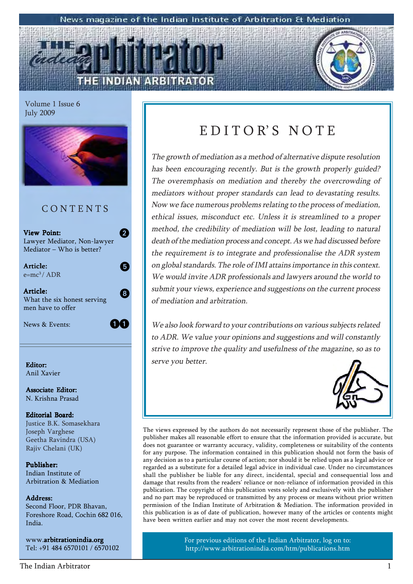#### News magazine of the Indian Institute of Arbitration & Mediation

Volume 1 Issue 6 July 2009



View Point: Lawyer Mediator, Non-lawyer  $Mediator - Who is better?$ 

2

5

8

**64** 

Article:  $e=mc^3/ADR$ 

Article: What the six honest serving men have to offer

News & Events:

Anil Xavier

Associate Editor: N. Krishna Prasad

#### Editorial Board: Justice B.K. Somasekhara Joseph Varghese Geetha Ravindra (USA) Rajiv Chelani (UK)

Publisher: Indian Institute of Arbitration & Mediation

#### Address: Address:

Second Floor, PDR Bhavan, Foreshore Road, Cochin 682 016, India.

www.arbitrationindia.org Tel: +91 484 6570101 / 6570102

### EDITOR'S NOTE

The growth of mediation as a method of alternative dispute resolution has been encouraging recently. But is the growth properly guided? The overemphasis on mediation and thereby the overcrowding of mediators without proper standards can lead to devastating results. Now we face numerous problems relating to the process of mediation, ethical issues, misconduct etc. Unless it is streamlined to a proper method, the credibility of mediation will be lost, leading to natural death of the mediation process and concept. As we had discussed before the requirement is to integrate and professionalise the ADR system on global standards. The role of IMI attains importance in this context. We would invite ADR professionals and lawyers around the world to submit your views, experience and suggestions on the current process of mediation and arbitration.

We also look forward to your contributions on various subjects related to ADR. We value your opinions and suggestions and will constantly strive to improve the quality and usefulness of the magazine, so as to **Editor:** Editor: Editor: Editor: Editor: Editor: Editor: Editor: Editor: Editor: Editor: Editor: Editor: Editor: Editor: Editor: Editor: Editor: Editor: Editor: Editor: Editor: Editor: Editor: Editor: Editor: Editor: Edit



The views expressed by the authors do not necessarily represent those of the publisher. The publisher makes all reasonable effort to ensure that the information provided is accurate, but does not guarantee or warranty accuracy, validity, completeness or suitability of the contents for any purpose. The information contained in this publication should not form the basis of any decision as to a particular course of action; nor should it be relied upon as a legal advice or regarded as a substitute for a detailed legal advice in individual case. Under no circumstances shall the publisher be liable for any direct, incidental, special and consequential loss and damage that results from the readers' reliance or non-reliance of information provided in this publication. The copyright of this publication vests solely and exclusively with the publisher and no part may be reproduced or transmitted by any process or means without prior written permission of the Indian Institute of Arbitration & Mediation. The information provided in this publication is as of date of publication, however many of the articles or contents might have been written earlier and may not cover the most recent developments.

> For previous editions of the Indian Arbitrator, log on to: http://www.arbitrationindia.com/htm/publications.htm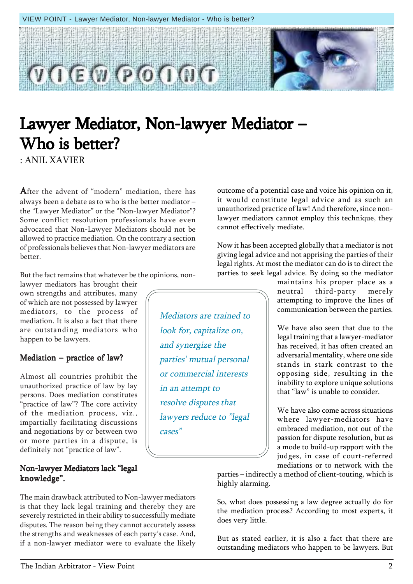

Mediators are trained to

look for, capitalize on,

parties' mutual personal

or commercial interests

lawyers reduce to "legal

and synergize the

in an attempt to

cases"

resolve disputes that

### Lawyer Mediator, Non-lawyer Mediator – Who is better?

: ANIL XAVIER

After the advent of "modern" mediation, there has always been a debate as to who is the better mediator  $$ the "Lawyer Mediator" or the "Non-lawyer Mediator"? Some conflict resolution professionals have even advocated that Non-Lawyer Mediators should not be allowed to practice mediation. On the contrary a section of professionals believes that Non-lawyer mediators are better.

But the fact remains that whatever be the opinions, non-

lawyer mediators has brought their own strengths and attributes, many of which are not possessed by lawyer mediators, to the process of mediation. It is also a fact that there are outstanding mediators who happen to be lawyers.

#### $Median - practice of law?$

Almost all countries prohibit the unauthorized practice of law by lay persons. Does mediation constitutes "practice of law"? The core activity of the mediation process, viz., impartially facilitating discussions and negotiations by or between two or more parties in a dispute, is definitely not "practice of law".

#### Non-lawyer Mediators lack "legal knowledge".

The main drawback attributed to Non-lawyer mediators is that they lack legal training and thereby they are severely restricted in their ability to successfully mediate disputes. The reason being they cannot accurately assess the strengths and weaknesses of each party's case. And, if a non-lawyer mediator were to evaluate the likely

it would constitute legal advice and as such an unauthorized practice of law! And therefore, since nonlawyer mediators cannot employ this technique, they cannot effectively mediate.

outcome of a potential case and voice his opinion on it,

Now it has been accepted globally that a mediator is not giving legal advice and not apprising the parties of their legal rights. At most the mediator can do is to direct the parties to seek legal advice. By doing so the mediator

> maintains his proper place as a neutral third-party merely attempting to improve the lines of communication between the parties.

> We have also seen that due to the legal training that a lawyer-mediator has received, it has often created an adversarial mentality, where one side stands in stark contrast to the opposing side, resulting in the inability to explore unique solutions that "law" is unable to consider.

> We have also come across situations where lawyer-mediators have embraced mediation, not out of the passion for dispute resolution, but as a mode to build-up rapport with the judges, in case of court-referred mediations or to network with the

parties – indirectly a method of client-touting, which is highly alarming.

So, what does possessing a law degree actually do for the mediation process? According to most experts, it does very little.

But as stated earlier, it is also a fact that there are outstanding mediators who happen to be lawyers. But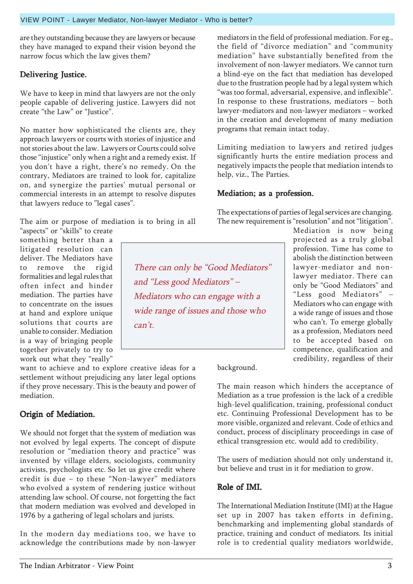are they outstanding because they are lawyers or because they have managed to expand their vision beyond the narrow focus which the law gives them?

### Delivering Justice.

We have to keep in mind that lawyers are not the only people capable of delivering justice. Lawyers did not create "the Law" or "Justice".

No matter how sophisticated the clients are, they approach lawyers or courts with stories of injustice and not stories about the law. Lawyers or Courts could solve those "injustice" only when a right and a remedy exist. If you don't have a right, there's no remedy. On the contrary, Mediators are trained to look for, capitalize on, and synergize the parties' mutual personal or commercial interests in an attempt to resolve disputes that lawyers reduce to "legal cases".

The aim or purpose of mediation is to bring in all "aspects" or "skills" to create

something better than a litigated resolution can deliver. The Mediators have to remove the rigid formalities and legal rules that often infect and hinder mediation. The parties have to concentrate on the issues at hand and explore unique solutions that courts are unable to consider. Mediation is a way of bringing people together privately to try to work out what they "really"

want to achieve and to explore creative ideas for a settlement without prejudicing any later legal options if they prove necessary. This is the beauty and power of mediation.

#### Origin of Mediation.

We should not forget that the system of mediation was not evolved by legal experts. The concept of dispute resolution or "mediation theory and practice" was invented by village elders, sociologists, community activists, psychologists etc. So let us give credit where credit is due  $-$  to these "Non-lawyer" mediators who evolved a system of rendering justice without attending law school. Of course, not forgetting the fact that modern mediation was evolved and developed in 1976 by a gathering of legal scholars and jurists.

In the modern day mediations too, we have to acknowledge the contributions made by non-lawyer

mediators in the field of professional mediation. For eg., the field of "divorce mediation" and "community mediation" have substantially benefited from the involvement of non-lawyer mediators. We cannot turn a blind-eye on the fact that mediation has developed due to the frustration people had by a legal system which "was too formal, adversarial, expensive, and inflexible". In response to these frustrations, mediators  $-$  both lawyer-mediators and non-lawyer mediators  $-$  worked in the creation and development of many mediation programs that remain intact today.

Limiting mediation to lawyers and retired judges significantly hurts the entire mediation process and negatively impacts the people that mediation intends to help, viz., The Parties.

#### Mediation; as a profession.

The expectations of parties of legal services are changing. The new requirement is "resolution" and not "litigation".

There can only be "Good Mediators" and "Less good Mediators"  $-$ Mediators who can engage with a wide range of issues and those who  $can't.$ 

Mediation is now being projected as a truly global profession. Time has come to abolish the distinction between lawyer-mediator and nonlawyer mediator. There can only be "Good Mediators" and "Less good Mediators" -Mediators who can engage with a wide range of issues and those who can't. To emerge globally as a profession, Mediators need to be accepted based on competence, qualification and credibility, regardless of their

background.

The main reason which hinders the acceptance of Mediation as a true profession is the lack of a credible high-level qualification, training, professional conduct etc. Continuing Professional Development has to be more visible, organized and relevant. Code of ethics and conduct, process of disciplinary proceedings in case of ethical transgression etc. would add to credibility.

The users of mediation should not only understand it, but believe and trust in it for mediation to grow.

#### Role of IMI.

The International Mediation Institute (IMI) at the Hague set up in 2007 has taken efforts in defining, benchmarking and implementing global standards of practice, training and conduct of mediators. Its initial role is to credential quality mediators worldwide,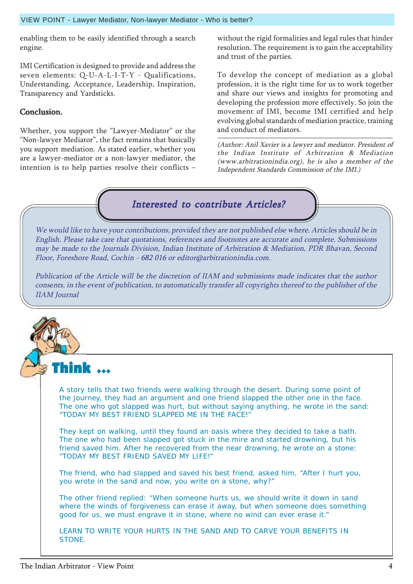#### VIEW POINT - Lawyer Mediator, Non-lawyer Mediator - Who is better?

enabling them to be easily identified through a search engine.

IMI Certification is designed to provide and address the seven elements: Q-U-A-L-I-T-Y - Qualifications, Understanding, Acceptance, Leadership, Inspiration, Transparency and Yardsticks.

#### Conclusion.

Whether, you support the "Lawyer-Mediator" or the "Non-lawyer Mediator", the fact remains that basically you support mediation. As stated earlier, whether you are a lawyer-mediator or a non-lawyer mediator, the intention is to help parties resolve their conflicts  $-$ 

without the rigid formalities and legal rules that hinder resolution. The requirement is to gain the acceptability and trust of the parties.

To develop the concept of mediation as a global profession, it is the right time for us to work together and share our views and insights for promoting and developing the profession more effectively. So join the movement of IMI, become IMI certified and help evolving global standards of mediation practice, training and conduct of mediators.

(Author: Anil Xavier is a lawyer and mediator. President of the Indian Institute of Arbitration & Mediation (www.arbitrationindia.org), he is also a member of the Independent Standards Commission of the IMI.)



We would like to have your contributions, provided they are not published else where. Articles should be in English. Please take care that quotations, references and footnotes are accurate and complete. Submissions may be made to the Journals Division, Indian Institute of Arbitration & Mediation, PDR Bhavan, Second Floor, Foreshore Road, Cochin - 682 016 or editor@arbitrationindia.com.

Publication of the Article will be the discretion of IIAM and submissions made indicates that the author consents, in the event of publication, to automatically transfer all copyrights thereof to the publisher of the IIAM Journal

A story tells that two friends were walking through the desert. During some point of the journey, they had an argument and one friend slapped the other one in the face. The one who got slapped was hurt, but without saying anything, he wrote in the sand: "TODAY MY BEST FRIEND SLAPPED ME IN THE FACE!"

They kept on walking, until they found an oasis where they decided to take a bath. The one who had been slapped got stuck in the mire and started drowning, but his friend saved him. After he recovered from the near drowning, he wrote on a stone: "TODAY MY BEST FRIEND SAVED MY LIFE!"

The friend, who had slapped and saved his best friend, asked him, "After I hurt you, you wrote in the sand and now, you write on a stone, why?"

The other friend replied: "When someone hurts us, we should write it down in sand where the winds of forgiveness can erase it away, but when someone does something good for us, we must engrave it in stone, where no wind can ever erase it."

LEARN TO WRITE YOUR HURTS IN THE SAND AND TO CARVE YOUR BENEFITS IN STONE.

Think ... Think ...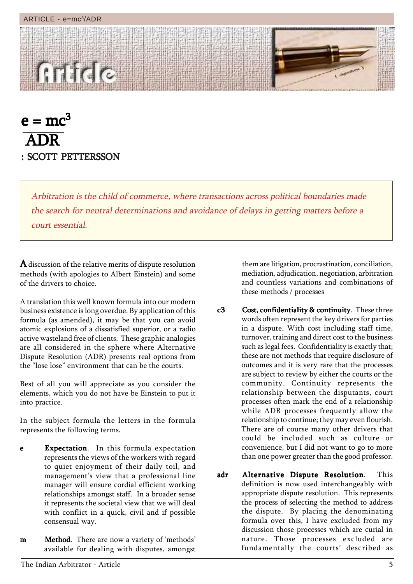#### ARTICLE - e=mc3/ADR



 $e = mc^3$  ADR : SCOTT PETTERSSON

> Arbitration is the child of commerce, where transactions across political boundaries made the search for neutral determinations and avoidance of delays in getting matters before a court essential.

 $\bf A$  discussion of the relative merits of dispute resolution methods (with apologies to Albert Einstein) and some of the drivers to choice.

A translation this well known formula into our modern business existence is long overdue. By application of this formula (as amended), it may be that you can avoid atomic explosions of a dissatisfied superior, or a radio active wasteland free of clients. These graphic analogies are all considered in the sphere where Alternative Dispute Resolution (ADR) presents real options from the "lose lose" environment that can be the courts.

Best of all you will appreciate as you consider the elements, which you do not have be Einstein to put it into practice.

In the subject formula the letters in the formula represents the following terms.

- e Expectation. In this formula expectation represents the views of the workers with regard to quiet enjoyment of their daily toil, and management's view that a professional line manager will ensure cordial efficient working relationships amongst staff. In a broader sense it represents the societal view that we will deal with conflict in a quick, civil and if possible consensual way.
- **m Method**. There are now a variety of 'methods' available for dealing with disputes, amongst

them are litigation, procrastination, conciliation, mediation, adjudication, negotiation, arbitration and countless variations and combinations of these methods / processes

- c3 Cost, confidentiality & continuity. These three words often represent the key drivers for parties in a dispute. With cost including staff time, turnover, training and direct cost to the business such as legal fees. Confidentiality is exactly that; these are not methods that require disclosure of outcomes and it is very rare that the processes are subject to review by either the courts or the community. Continuity represents the relationship between the disputants, court processes often mark the end of a relationship while ADR processes frequently allow the relationship to continue; they may even flourish. There are of course many other drivers that could be included such as culture or convenience, but I did not want to go to more than one power greater than the good professor.
- adr Alternative Dispute Resolution. This definition is now used interchangeably with appropriate dispute resolution. This represents the process of selecting the method to address the dispute. By placing the denominating formula over this, I have excluded from my discussion those processes which are curial in nature. Those processes excluded are fundamentally the courts' described as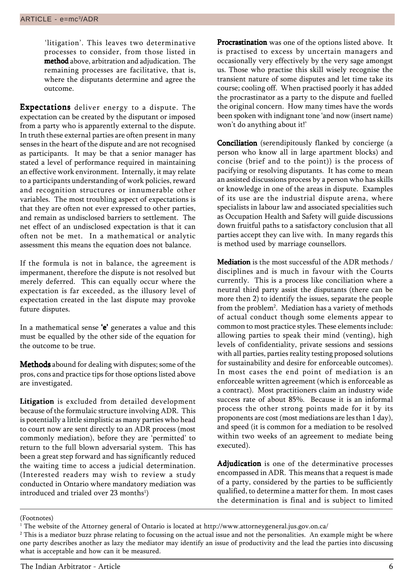'litigation'. This leaves two determinative processes to consider, from those listed in method above, arbitration and adjudication. The remaining processes are facilitative, that is, where the disputants determine and agree the outcome.

**Expectations** deliver energy to a dispute. The expectation can be created by the disputant or imposed from a party who is apparently external to the dispute. In truth these external parties are often present in many senses in the heart of the dispute and are not recognised as participants. It may be that a senior manager has stated a level of performance required in maintaining an effective work environment. Internally, it may relate to a participants understanding of work policies, reward and recognition structures or innumerable other variables. The most troubling aspect of expectations is that they are often not ever expressed to other parties, and remain as undisclosed barriers to settlement. The net effect of an undisclosed expectation is that it can often not be met. In a mathematical or analytic assessment this means the equation does not balance.

If the formula is not in balance, the agreement is impermanent, therefore the dispute is not resolved but merely deferred. This can equally occur where the expectation is far exceeded, as the illusory level of expectation created in the last dispute may provoke future disputes.

In a mathematical sense 'e' generates a value and this must be equalled by the other side of the equation for the outcome to be true.

Methods abound for dealing with disputes; some of the pros, cons and practice tips for those options listed above are investigated.

Litigation is excluded from detailed development because of the formulaic structure involving ADR. This is potentially a little simplistic as many parties who head to court now are sent directly to an ADR process (most commonly mediation), before they are 'permitted' to return to the full blown adversarial system. This has been a great step forward and has significantly reduced the waiting time to access a judicial determination. (Interested readers may wish to review a study conducted in Ontario where mandatory mediation was introduced and trialed over 23 months $^{\rm l})$ 

Procrastination was one of the options listed above. It is practised to excess by uncertain managers and occasionally very effectively by the very sage amongst us. Those who practise this skill wisely recognise the transient nature of some disputes and let time take its course; cooling off. When practised poorly it has added the procrastinator as a party to the dispute and fuelled the original concern. How many times have the words been spoken with indignant tone 'and now (insert name) won't do anything about it!'

**Conciliation** (serendipitously flanked by concierge (a person who know all in large apartment blocks) and concise (brief and to the point)) is the process of pacifying or resolving disputants. It has come to mean an assisted discussions process by a person who has skills or knowledge in one of the areas in dispute. Examples of its use are the industrial dispute arena, where specialists in labour law and associated specialities such as Occupation Health and Safety will guide discussions down fruitful paths to a satisfactory conclusion that all parties accept they can live with. In many regards this is method used by marriage counsellors.

Mediation is the most successful of the ADR methods / disciplines and is much in favour with the Courts currently. This is a process like conciliation where a neutral third party assist the disputants (there can be more then 2) to identify the issues, separate the people from the problem<sup>2</sup>. Mediation has a variety of methods of actual conduct though some elements appear to common to most practice styles. These elements include: allowing parties to speak their mind (venting), high levels of confidentiality, private sessions and sessions with all parties, parties reality testing proposed solutions for sustainability and desire for enforceable outcomes). In most cases the end point of mediation is an enforceable written agreement (which is enforceable as a contract). Most practitioners claim an industry wide success rate of about 85%. Because it is an informal process the other strong points made for it by its proponents are cost (most mediations are les than 1 day), and speed (it is common for a mediation to be resolved within two weeks of an agreement to mediate being executed).

Adjudication is one of the determinative processes encompassed in ADR. This means that a request is made of a party, considered by the parties to be sufficiently qualified, to determine a matter for them. In most cases the determination is final and is subject to limited

<sup>(</sup>Footnotes)

 $^{\rm 1}$  The website of the Attorney general of Ontario is located at http://www.attorneygeneral.jus.gov.on.ca/

 $^{\rm 2}$  This is a mediator buzz phrase relating to focussing on the actual issue and not the personalities.  $\,$  An example might be where one party describes another as lazy the mediator may identify an issue of productivity and the lead the parties into discussing what is acceptable and how can it be measured.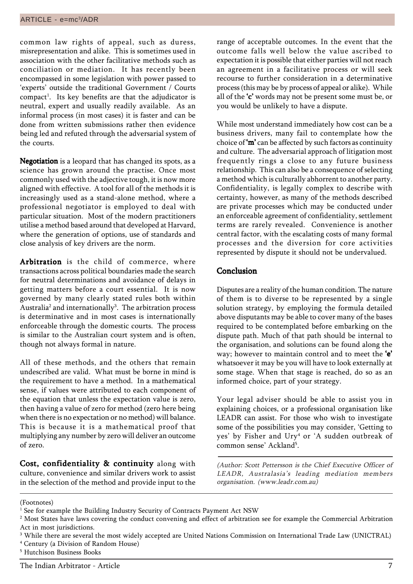common law rights of appeal, such as duress, misrepresentation and alike. This is sometimes used in association with the other facilitative methods such as conciliation or mediation. It has recently been encompassed in some legislation with power passed to 'experts' outside the traditional Government / Courts compact<sup>1</sup>. Its key benefits are that the adjudicator is neutral, expert and usually readily available. As an informal process (in most cases) it is faster and can be done from written submissions rather then evidence being led and refuted through the adversarial system of the courts.

Negotiation is a leopard that has changed its spots, as a science has grown around the practise. Once most commonly used with the adjective tough, it is now more aligned with effective. A tool for all of the methods it is increasingly used as a stand-alone method, where a professional negotiator is employed to deal with particular situation. Most of the modern practitioners utilise a method based around that developed at Harvard, where the generation of options, use of standards and close analysis of key drivers are the norm.

Arbitration is the child of commerce, where transactions across political boundaries made the search for neutral determinations and avoidance of delays in getting matters before a court essential. It is now governed by many clearly stated rules both within Australia $^{\rm 2}$  and internationally $^{\rm 3}$ . The arbitration process is determinative and in most cases is internationally enforceable through the domestic courts. The process is similar to the Australian court system and is often, though not always formal in nature.

All of these methods, and the others that remain undescribed are valid. What must be borne in mind is the requirement to have a method. In a mathematical sense, if values were attributed to each component of the equation that unless the expectation value is zero, then having a value of zero for method (zero here being when there is no expectation or no method) will balance. This is because it is a mathematical proof that multiplying any number by zero will deliver an outcome of zero.

Cost, confidentiality & continuity along with culture, convenience and similar drivers work to assist in the selection of the method and provide input to the range of acceptable outcomes. In the event that the outcome falls well below the value ascribed to expectation it is possible that either parties will not reach an agreement in a facilitative process or will seek recourse to further consideration in a determinative process (this may be by process of appeal or alike). While all of the 'c' words may not be present some must be, or you would be unlikely to have a dispute.

While most understand immediately how cost can be a business drivers, many fail to contemplate how the choice of  $\mathbf{\hat{m}}$  can be affected by such factors as continuity and culture. The adversarial approach of litigation most frequently rings a close to any future business relationship. This can also be a consequence of selecting a method which is culturally abhorrent to another party. Confidentiality, is legally complex to describe with certainty, however, as many of the methods described are private processes which may be conducted under an enforceable agreement of confidentiality, settlement terms are rarely revealed. Convenience is another central factor, with the escalating costs of many formal processes and the diversion for core activities represented by dispute it should not be undervalued.

#### Conclusion

Disputes are a reality of the human condition. The nature of them is to diverse to be represented by a single solution strategy, by employing the formula detailed above disputants may be able to cover many of the bases required to be contemplated before embarking on the dispute path. Much of that path should be internal to the organisation, and solutions can be found along the way; however to maintain control and to meet the 'e' whatsoever it may be you will have to look externally at some stage. When that stage is reached, do so as an informed choice, part of your strategy.

Your legal adviser should be able to assist you in explaining choices, or a professional organisation like LEADR can assist. For those who wish to investigate some of the possibilities you may consider, 'Getting to yes' by Fisher and Ury<sup>4</sup> or 'A sudden outbreak of common sense' Ackland<sup>5</sup>.

(Author: Scott Pettersson is the Chief Executive Officer of LEADR, Australasia's leading mediation members organisation. (www.leadr.com.au)

(Footnotes)

4 Century (a Division of Random House)

<sup>&</sup>lt;sup>1</sup> See for example the Building Industry Security of Contracts Payment Act NSW

 $^{\rm 2}$  Most States have laws covering the conduct convening and effect of arbitration see for example the Commercial Arbitration Act in most jurisdictions.

 $^3$  While there are several the most widely accepted are United Nations Commission on International Trade Law (UNICTRAL)

<sup>5</sup> Hutchison Business Books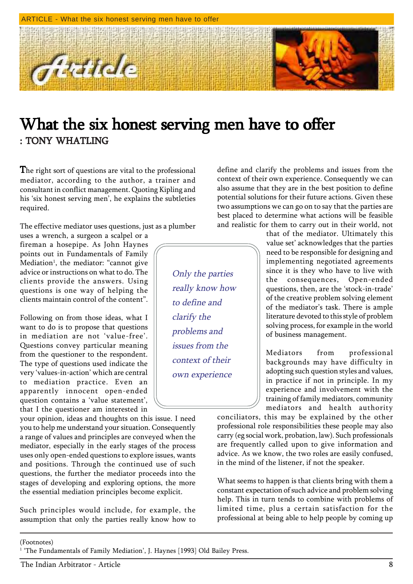

### What the six honest serving men have to offer : TONY WHATLING

The right sort of questions are vital to the professional mediator, according to the author, a trainer and consultant in conflict management. Quoting Kipling and his 'six honest serving men', he explains the subtleties required.

The effective mediator uses questions, just as a plumber

uses a wrench, a surgeon a scalpel or a fireman a hosepipe. As John Haynes points out in Fundamentals of Family Mediation<sup>1</sup>, the mediator: "cannot give advice or instructions on what to do. The clients provide the answers. Using questions is one way of helping the clients maintain control of the content".

Following on from those ideas, what I want to do is to propose that questions in mediation are not 'value-free'. Questions convey particular meaning from the questioner to the respondent. The type of questions used indicate the very 'values-in-action' which are central to mediation practice. Even an apparently innocent open-ended question contains a 'value statement', that I the questioner am interested in

your opinion, ideas and thoughts on this issue. I need you to help me understand your situation. Consequently a range of values and principles are conveyed when the mediator, especially in the early stages of the process uses only open-ended questions to explore issues, wants and positions. Through the continued use of such questions, the further the mediator proceeds into the stages of developing and exploring options, the more the essential mediation principles become explicit.

Such principles would include, for example, the assumption that only the parties really know how to

define and clarify the problems and issues from the context of their own experience. Consequently we can also assume that they are in the best position to define potential solutions for their future actions. Given these two assumptions we can go on to say that the parties are best placed to determine what actions will be feasible and realistic for them to carry out in their world, not

Only the parties really know how to define and clarify the problems and issues from the context of their own experience

that of the mediator. Ultimately this value set' acknowledges that the parties need to be responsible for designing and implementing negotiated agreements since it is they who have to live with the consequences, Open-ended questions, then, are the 'stock-in-trade' of the creative problem solving element of the mediator's task. There is ample literature devoted to this style of problem solving process, for example in the world of business management.

Mediators from professional backgrounds may have difficulty in adopting such question styles and values, in practice if not in principle. In my experience and involvement with the training of family mediators, community mediators and health authority

conciliators, this may be explained by the other professional role responsibilities these people may also carry (eg social work, probation, law). Such professionals are frequently called upon to give information and advice. As we know, the two roles are easily confused, in the mind of the listener, if not the speaker.

What seems to happen is that clients bring with them a constant expectation of such advice and problem solving help. This in turn tends to combine with problems of limited time, plus a certain satisfaction for the professional at being able to help people by coming up

<sup>&</sup>lt;sup>1</sup> 'The Fundamentals of Family Mediation', J. Haynes [1993] Old Bailey Press.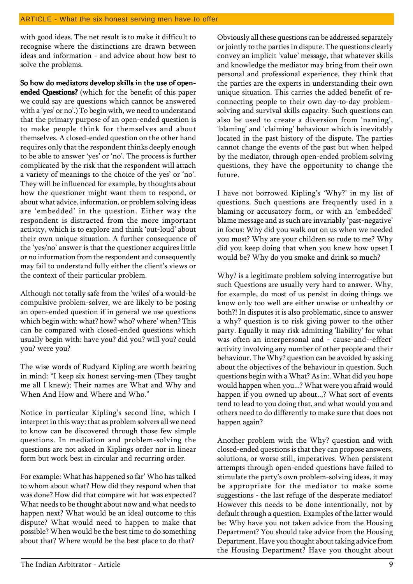#### ARTICLE - What the six honest serving men have to offer

with good ideas. The net result is to make it difficult to recognise where the distinctions are drawn between ideas and information - and advice about how best to solve the problems.

So how do mediators develop skills in the use of open-

ended Questions? (which for the benefit of this paper we could say are questions which cannot be answered with a 'yes' or no'.) To begin with, we need to understand that the primary purpose of an open-ended question is to make people think for themselves and about themselves. A closed-ended question on the other hand requires only that the respondent thinks deeply enough to be able to answer 'yes' or 'no'. The process is further complicated by the risk that the respondent will attach a variety of meanings to the choice of the yes' or 'no'. They will be influenced for example, by thoughts about how the questioner might want them to respond, or about what advice, information, or problem solving ideas are 'embedded' in the question. Either way the respondent is distracted from the more important activity, which is to explore and think 'out-loud' about their own unique situation. A further consequence of the 'yes/no' answer is that the questioner acquires little or no information from the respondent and consequently may fail to understand fully either the client's views or the context of their particular problem.

Although not totally safe from the 'wiles' of a would-be compulsive problem-solver, we are likely to be posing an open-ended question if in general we use questions which begin with: what? how? who? where' when? This can be compared with closed-ended questions which usually begin with: have you? did you? will you? could you? were you?

The wise words of Rudyard Kipling are worth bearing in mind: "I keep six honest serving-men (They taught me all I knew); Their names are What and Why and When And How and Where and Who."

Notice in particular Kipling's second line, which I interpret in this way: that as problem solvers all we need to know can be discovered through those few simple questions. In mediation and problem-solving the questions are not asked in Kiplings order nor in linear form but work best in circular and recurring order.

For example: What has happened so far' Who has talked to whom about what? How did they respond when that was done? How did that compare wit hat was expected? What needs to be thought about now and what needs to happen next? What would be an ideal outcome to this dispute? What would need to happen to make that possible? When would be the best time to do something about that? Where would be the best place to do that?

Obviously all these questions can be addressed separately or jointly to the parties in dispute. The questions clearly convey an implicit 'value' message, that whatever skills and knowledge the mediator may bring from their own personal and professional experience, they think that the parties are the experts in understanding their own unique situation. This carries the added benefit of reconnecting people to their own day-to-day problemsolving and survival skills capacity. Such questions can also be used to create a diversion from 'naming', 'blaming' and 'claiming' behaviour which is inevitably located in the past history of the dispute. The parties cannot change the events of the past but when helped by the mediator, through open-ended problem solving questions, they have the opportunity to change the future.

I have not borrowed Kipling's 'Why?' in my list of questions. Such questions are frequently used in a blaming or accusatory form, or with an 'embedded' blame message and as such are invariably 'past-negative' in focus: Why did you walk out on us when we needed you most? Why are your children so rude to me? Why did you keep doing that when you knew how upset I would be? Why do you smoke and drink so much?

Why? is a legitimate problem solving interrogative but such Questions are usually very hard to answer. Why, for example, do most of us persist in doing things we know only too well are either unwise or unhealthy or both?! In disputes it is also problematic, since to answer a why? question is to risk giving power to the other party. Equally it may risk admitting 'liability' for what was often an interpersonal and - cause-and--effect' activity involving any number of other people and their behaviour. The Why? question can be avoided by asking about the objectives of the behaviour in question. Such questions begin with a What? As in:. What did you hope would happen when you...? What were you afraid would happen if you owned up about..,? What sort of events tend to lead to you doing that, and what would you and others need to do differently to make sure that does not happen again?

Another problem with the Why? question and with closed-ended questions is that they can propose answers, solutions, or worse still, imperatives. When persistent attempts through open-ended questions have failed to stimulate the party's own problem-solving ideas, it may be appropriate for the mediator to make some suggestions - the last refuge of the desperate mediator! However this needs to be done intentionally, not by default through a question. Examples of the latter would be: Why have you not taken advice from the Housing Department? You should take advice from the Housing Department. Have you thought about taking advice from the Housing Department? Have you thought about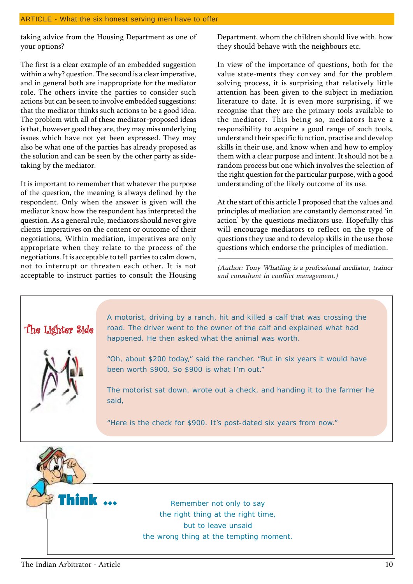taking advice from the Housing Department as one of your options?

The first is a clear example of an embedded suggestion within a why? question. The second is a clear imperative, and in general both are inappropriate for the mediator role. The others invite the parties to consider such actions but can be seen to involve embedded suggestions: that the mediator thinks such actions to be a good idea. The problem with all of these mediator-proposed ideas is that, however good they are, they may miss underlying issues which have not yet been expressed. They may also be what one of the parties has already proposed as the solution and can be seen by the other party as sidetaking by the mediator.

It is important to remember that whatever the purpose of the question, the meaning is always defined by the respondent. Only when the answer is given will the mediator know how the respondent has interpreted the question. As a general rule, mediators should never give clients imperatives on the content or outcome of their negotiations, Within mediation, imperatives are only appropriate when they relate to the process of the negotiations. It is acceptable to tell parties to calm down, not to interrupt or threaten each other. It is not acceptable to instruct parties to consult the Housing Department, whom the children should live with. how they should behave with the neighbours etc.

In view of the importance of questions, both for the value state-ments they convey and for the problem solving process, it is surprising that relatively little attention has been given to the subject in mediation literature to date. It is even more surprising, if we recognise that they are the primary tools available to the mediator. This being so, mediators have a responsibility to acquire a good range of such tools, understand their specific function, practise and develop skills in their use, and know when and how to employ them with a clear purpose and intent. It should not be a random process but one which involves the selection of the right question for the particular purpose, with a good understanding of the likely outcome of its use.

At the start of this article I proposed that the values and principles of mediation are constantly demonstrated 'in action' by the questions mediators use. Hopefully this will encourage mediators to reflect on the type of questions they use and to develop skills in the use those questions which endorse the principles of mediation.

(Author: Tony Whatling is a professional mediator, trainer and consultant in conflict management.)



the wrong thing at the tempting moment.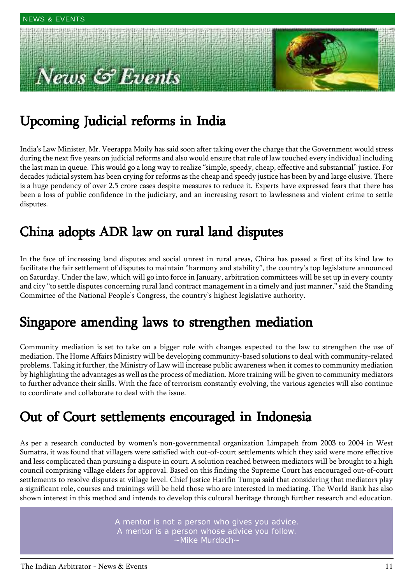# ews & Events



### Upcoming Judicial reforms in India

Indiaís Law Minister, Mr. Veerappa Moily has said soon after taking over the charge that the Government would stress during the next five years on judicial reforms and also would ensure that rule of law touched every individual including the last man in queue. This would go a long way to realize "simple, speedy, cheap, effective and substantial" justice. For decades judicial system has been crying for reforms as the cheap and speedy justice has been by and large elusive. There is a huge pendency of over 2.5 crore cases despite measures to reduce it. Experts have expressed fears that there has been a loss of public confidence in the judiciary, and an increasing resort to lawlessness and violent crime to settle disputes.

### China adopts ADR law on rural land disputes China adopts ADR law on rural land disputes

In the face of increasing land disputes and social unrest in rural areas, China has passed a first of its kind law to facilitate the fair settlement of disputes to maintain "harmony and stability", the country's top legislature announced on Saturday. Under the law, which will go into force in January, arbitration committees will be set up in every county and city "to settle disputes concerning rural land contract management in a timely and just manner," said the Standing Committee of the National Peopleís Congress, the countryís highest legislative authority.

### Singapore amending laws to strengthen mediation

Community mediation is set to take on a bigger role with changes expected to the law to strengthen the use of mediation. The Home Affairs Ministry will be developing community-based solutions to deal with community-related problems. Taking it further, the Ministry of Law will increase public awareness when it comes to community mediation by highlighting the advantages as well as the process of mediation. More training will be given to community mediators to further advance their skills. With the face of terrorism constantly evolving, the various agencies will also continue to coordinate and collaborate to deal with the issue.

### Out of Court settlements encouraged in Indonesia

As per a research conducted by women's non-governmental organization Limpapeh from 2003 to 2004 in West Sumatra, it was found that villagers were satisfied with out-of-court settlements which they said were more effective and less complicated than pursuing a dispute in court. A solution reached between mediators will be brought to a high council comprising village elders for approval. Based on this finding the Supreme Court has encouraged out-of-court settlements to resolve disputes at village level. Chief Justice Harifin Tumpa said that considering that mediators play a significant role, courses and trainings will be held those who are interested in mediating. The World Bank has also shown interest in this method and intends to develop this cultural heritage through further research and education.

> A mentor is not a person who gives you advice. A mentor is a person whose advice you follow. ~Mike Murdoch~